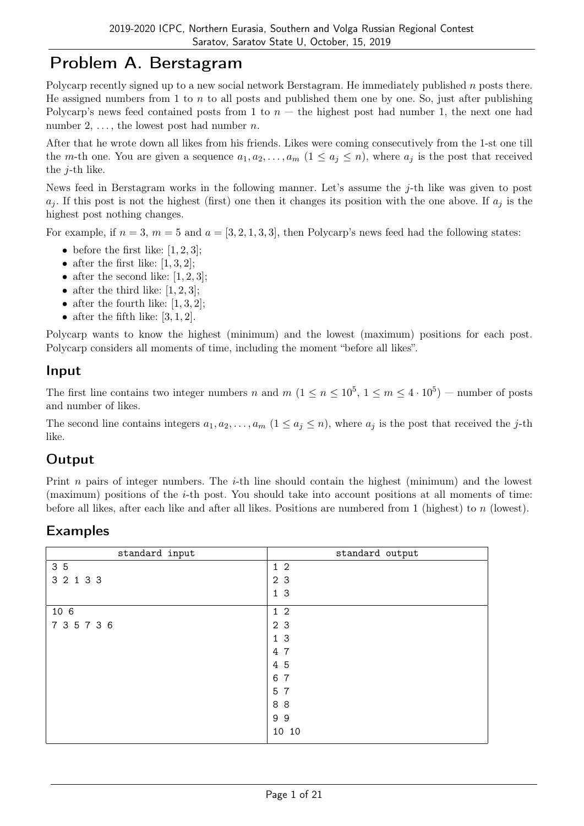## Problem A. Berstagram

Polycarp recently signed up to a new social network Berstagram. He immediately published n posts there. He assigned numbers from 1 to n to all posts and published them one by one. So, just after publishing Polycarp's news feed contained posts from 1 to  $n -$  the highest post had number 1, the next one had number 2,  $\dots$ , the lowest post had number *n*.

After that he wrote down all likes from his friends. Likes were coming consecutively from the 1-st one till the m-th one. You are given a sequence  $a_1, a_2, \ldots, a_m$   $(1 \le a_j \le n)$ , where  $a_j$  is the post that received the j-th like.

News feed in Berstagram works in the following manner. Let's assume the j-th like was given to post  $a_j$ . If this post is not the highest (first) one then it changes its position with the one above. If  $a_j$  is the highest post nothing changes.

For example, if  $n = 3$ ,  $m = 5$  and  $a = \begin{bmatrix} 3, 2, 1, 3, 3 \end{bmatrix}$ , then Polycarp's news feed had the following states:

- before the first like:  $[1, 2, 3]$ ;
- after the first like:  $[1, 3, 2]$ :
- after the second like:  $[1, 2, 3]$ ;
- after the third like:  $[1, 2, 3]$ ;
- after the fourth like:  $[1, 3, 2]$ ;
- after the fifth like:  $[3, 1, 2]$ .

Polycarp wants to know the highest (minimum) and the lowest (maximum) positions for each post. Polycarp considers all moments of time, including the moment "before all likes".

#### Input

The first line contains two integer numbers n and  $m$   $(1 \le n \le 10^5, 1 \le m \le 4 \cdot 10^5)$  – number of posts and number of likes.

The second line contains integers  $a_1, a_2, \ldots, a_m$   $(1 \le a_j \le n)$ , where  $a_j$  is the post that received the j-th like.

## **Output**

Print n pairs of integer numbers. The *i*-th line should contain the highest (minimum) and the lowest (maximum) positions of the  $i$ -th post. You should take into account positions at all moments of time: before all likes, after each like and after all likes. Positions are numbered from 1 (highest) to  $n$  (lowest).

| standard input | standard output |
|----------------|-----------------|
| 3 5            | $1\,2$          |
| 3 2 1 3 3      | 2 <sub>3</sub>  |
|                | 1 <sub>3</sub>  |
| 10 6           | $1\,2$          |
| 7 3 5 7 3 6    | 2 <sub>3</sub>  |
|                | 1 <sub>3</sub>  |
|                | 4 7             |
|                | 4 5             |
|                | 6 7             |
|                | 5 7             |
|                | 88              |
|                | 99              |
|                | 10 10           |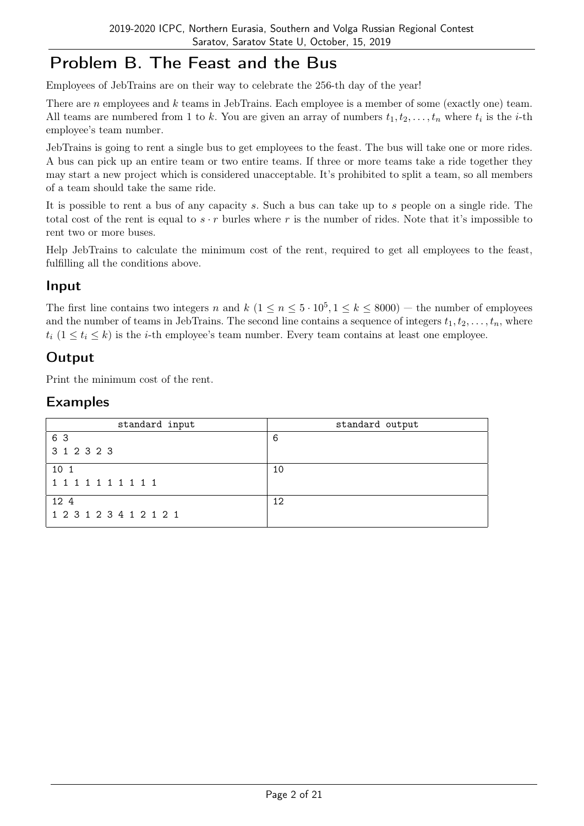## Problem B. The Feast and the Bus

Employees of JebTrains are on their way to celebrate the 256-th day of the year!

There are *n* employees and *k* teams in JebTrains. Each employee is a member of some (exactly one) team. All teams are numbered from 1 to k. You are given an array of numbers  $t_1, t_2, \ldots, t_n$  where  $t_i$  is the *i*-th employee's team number.

JebTrains is going to rent a single bus to get employees to the feast. The bus will take one or more rides. A bus can pick up an entire team or two entire teams. If three or more teams take a ride together they may start a new project which is considered unacceptable. It's prohibited to split a team, so all members of a team should take the same ride.

It is possible to rent a bus of any capacity s. Such a bus can take up to s people on a single ride. The total cost of the rent is equal to  $s \cdot r$  burles where r is the number of rides. Note that it's impossible to rent two or more buses.

Help JebTrains to calculate the minimum cost of the rent, required to get all employees to the feast, fulfilling all the conditions above.

#### Input

The first line contains two integers n and  $k$   $(1 \le n \le 5 \cdot 10^5, 1 \le k \le 8000)$  — the number of employees and the number of teams in JebTrains. The second line contains a sequence of integers  $t_1, t_2, \ldots, t_n$ , where  $t_i$  ( $1 \leq t_i \leq k$ ) is the *i*-th employee's team number. Every team contains at least one employee.

### **Output**

Print the minimum cost of the rent.

| standard input          | standard output |
|-------------------------|-----------------|
| 6 3                     | -6              |
| 3 1 2 3 2 3             |                 |
| 10 1                    | 10              |
| 1 1 1 1 1 1 1 1 1 1     |                 |
| 12 4                    | 12              |
| 1 2 3 1 2 3 4 1 2 1 2 1 |                 |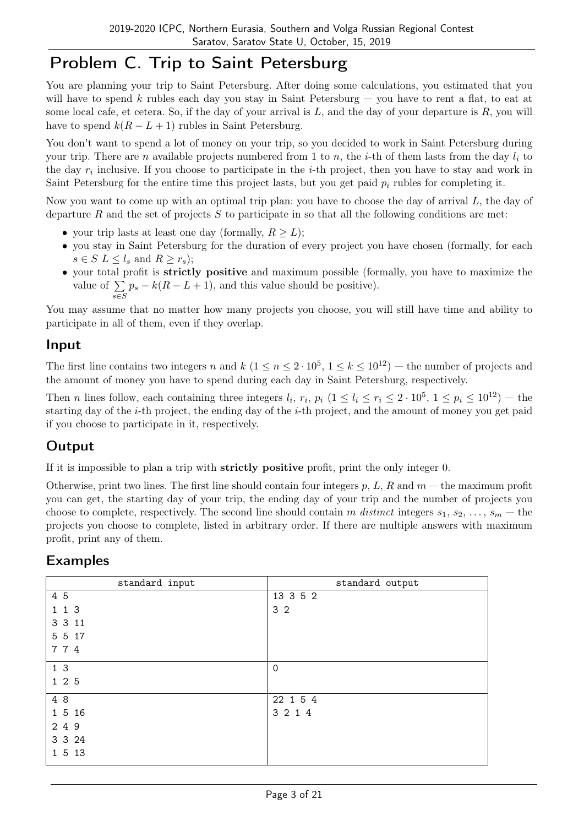## Problem C. Trip to Saint Petersburg

You are planning your trip to Saint Petersburg. After doing some calculations, you estimated that you will have to spend k rubles each day you stay in Saint Petersburg  $-$  you have to rent a flat, to eat at some local cafe, et cetera. So, if the day of your arrival is  $L$ , and the day of your departure is  $R$ , you will have to spend  $k(R - L + 1)$  rubles in Saint Petersburg.

You don't want to spend a lot of money on your trip, so you decided to work in Saint Petersburg during your trip. There are n available projects numbered from 1 to n, the *i*-th of them lasts from the day  $l_i$  to the day  $r_i$  inclusive. If you choose to participate in the *i*-th project, then you have to stay and work in Saint Petersburg for the entire time this project lasts, but you get paid  $p_i$  rubles for completing it.

Now you want to come up with an optimal trip plan: you have to choose the day of arrival  $L$ , the day of departure R and the set of projects S to participate in so that all the following conditions are met:

- your trip lasts at least one day (formally,  $R > L$ );
- you stay in Saint Petersburg for the duration of every project you have chosen (formally, for each  $s \in S$   $L \leq l_s$  and  $R \geq r_s$ ;
- your total profit is strictly positive and maximum possible (formally, you have to maximize the value of  $\Sigma$ s∈S  $p_s - k(R - L + 1)$ , and this value should be positive).

You may assume that no matter how many projects you choose, you will still have time and ability to participate in all of them, even if they overlap.

#### Input

The first line contains two integers n and  $k$   $(1 \le n \le 2 \cdot 10^5, 1 \le k \le 10^{12})$  – the number of projects and the amount of money you have to spend during each day in Saint Petersburg, respectively.

Then *n* lines follow, each containing three integers  $l_i$ ,  $r_i$ ,  $p_i$   $(1 \le l_i \le r_i \le 2 \cdot 10^5, 1 \le p_i \le 10^{12})$  - the starting day of the i-th project, the ending day of the i-th project, and the amount of money you get paid if you choose to participate in it, respectively.

## **Output**

If it is impossible to plan a trip with strictly positive profit, print the only integer 0.

Otherwise, print two lines. The first line should contain four integers  $p, L, R$  and  $m -$  the maximum profit you can get, the starting day of your trip, the ending day of your trip and the number of projects you choose to complete, respectively. The second line should contain m distinct integers  $s_1, s_2, \ldots, s_m$  — the projects you choose to complete, listed in arbitrary order. If there are multiple answers with maximum profit, print any of them.

| standard input | standard output |
|----------------|-----------------|
| 4 5            | 13 3 5 2        |
| 1 1 3          | 3 <sub>2</sub>  |
| 3 3 11         |                 |
| 5 5 17         |                 |
| 774            |                 |
| 1 <sub>3</sub> | $\mathbf 0$     |
| 1 2 5          |                 |
| 4 8            | 22 1 5 4        |
| 1 5 16         | 3 2 1 4         |
| 2 4 9          |                 |
| 3 3 24         |                 |
| 1 5 13         |                 |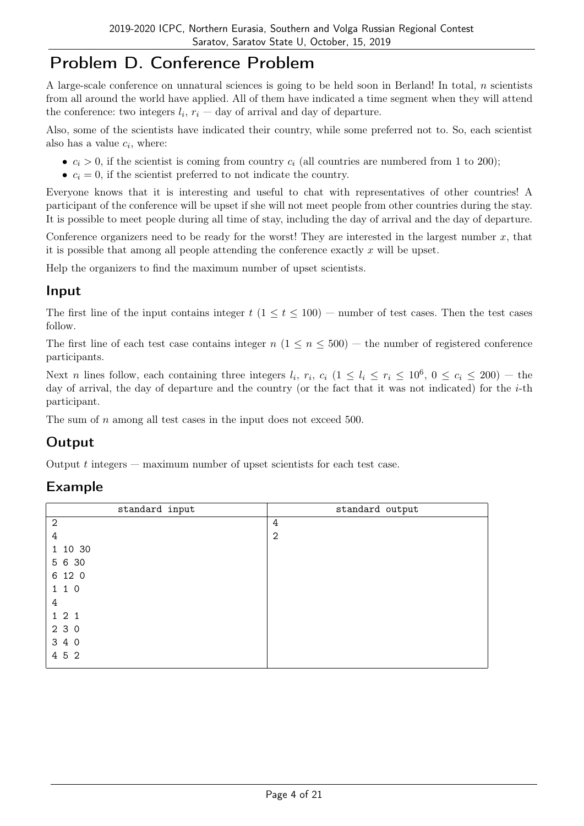## Problem D. Conference Problem

A large-scale conference on unnatural sciences is going to be held soon in Berland! In total,  $n$  scientists from all around the world have applied. All of them have indicated a time segment when they will attend the conference: two integers  $l_i$ ,  $r_i$  – day of arrival and day of departure.

Also, some of the scientists have indicated their country, while some preferred not to. So, each scientist also has a value  $c_i$ , where:

- $c_i > 0$ , if the scientist is coming from country  $c_i$  (all countries are numbered from 1 to 200);
- $c_i = 0$ , if the scientist preferred to not indicate the country.

Everyone knows that it is interesting and useful to chat with representatives of other countries! A participant of the conference will be upset if she will not meet people from other countries during the stay. It is possible to meet people during all time of stay, including the day of arrival and the day of departure.

Conference organizers need to be ready for the worst! They are interested in the largest number  $x$ , that it is possible that among all people attending the conference exactly  $x$  will be upset.

Help the organizers to find the maximum number of upset scientists.

#### Input

The first line of the input contains integer  $t$  ( $1 \le t \le 100$ ) — number of test cases. Then the test cases follow.

The first line of each test case contains integer  $n (1 \le n \le 500)$  — the number of registered conference participants.

Next *n* lines follow, each containing three integers  $l_i$ ,  $r_i$ ,  $c_i$  ( $1 \le l_i \le r_i \le 10^6$ ,  $0 \le c_i \le 200$ ) – the day of arrival, the day of departure and the country (or the fact that it was not indicated) for the  $i$ -th participant.

The sum of *n* among all test cases in the input does not exceed 500.

## Output

Output  $t$  integers  $-$  maximum number of upset scientists for each test case.

| standard input | standard output |
|----------------|-----------------|
| $\mathbf{2}$   | 4               |
| $\overline{4}$ | 2               |
| 1 10 30        |                 |
| 5 6 30         |                 |
| 6 12 0         |                 |
| 110            |                 |
| 4              |                 |
| 121            |                 |
| 230            |                 |
| 3 4 0          |                 |
| 4 5 2          |                 |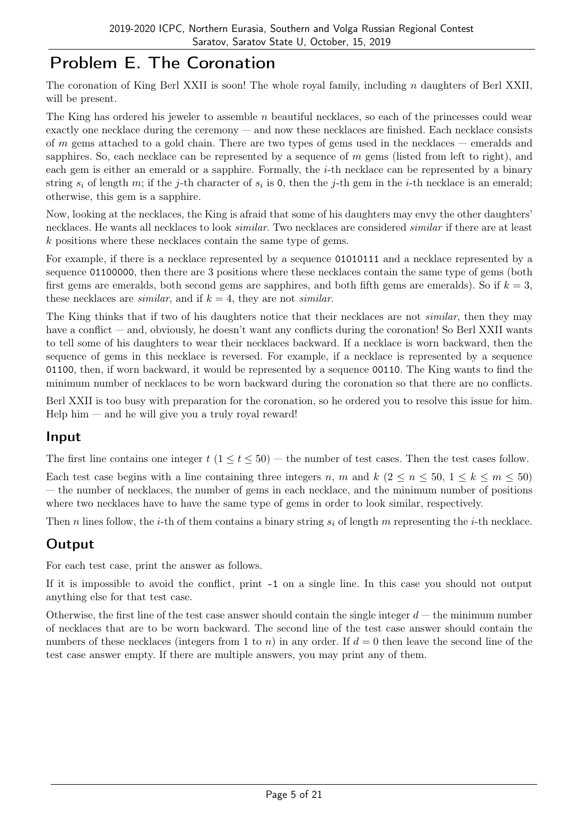# Problem E. The Coronation

The coronation of King Berl XXII is soon! The whole royal family, including  $n$  daughters of Berl XXII, will be present.

The King has ordered his jeweler to assemble  $n$  beautiful necklaces, so each of the princesses could wear exactly one necklace during the ceremony — and now these necklaces are finished. Each necklace consists of m gems attached to a gold chain. There are two types of gems used in the necklaces — emeralds and sapphires. So, each necklace can be represented by a sequence of  $m$  gems (listed from left to right), and each gem is either an emerald or a sapphire. Formally, the *i*-th necklace can be represented by a binary string  $s_i$  of length m; if the j-th character of  $s_i$  is 0, then the j-th gem in the *i*-th necklace is an emerald; otherwise, this gem is a sapphire.

Now, looking at the necklaces, the King is afraid that some of his daughters may envy the other daughters' necklaces. He wants all necklaces to look similar. Two necklaces are considered similar if there are at least k positions where these necklaces contain the same type of gems.

For example, if there is a necklace represented by a sequence 01010111 and a necklace represented by a sequence 01100000, then there are 3 positions where these necklaces contain the same type of gems (both first gems are emeralds, both second gems are sapphires, and both fifth gems are emeralds). So if  $k = 3$ , these necklaces are *similar*, and if  $k = 4$ , they are not *similar*.

The King thinks that if two of his daughters notice that their necklaces are not *similar*, then they may have a conflict — and, obviously, he doesn't want any conflicts during the coronation! So Berl XXII wants to tell some of his daughters to wear their necklaces backward. If a necklace is worn backward, then the sequence of gems in this necklace is reversed. For example, if a necklace is represented by a sequence 01100, then, if worn backward, it would be represented by a sequence 00110. The King wants to find the minimum number of necklaces to be worn backward during the coronation so that there are no conflicts.

Berl XXII is too busy with preparation for the coronation, so he ordered you to resolve this issue for him.  $\text{Help him} - \text{and he will give you a truly royal reward!}$ 

#### Input

The first line contains one integer  $t$  ( $1 \le t \le 50$ ) — the number of test cases. Then the test cases follow.

Each test case begins with a line containing three integers n, m and k  $(2 \le n \le 50, 1 \le k \le m \le 50)$ — the number of necklaces, the number of gems in each necklace, and the minimum number of positions where two necklaces have to have the same type of gems in order to look similar, respectively.

Then n lines follow, the *i*-th of them contains a binary string  $s_i$  of length m representing the *i*-th necklace.

## **Output**

For each test case, print the answer as follows.

If it is impossible to avoid the conflict, print -1 on a single line. In this case you should not output anything else for that test case.

Otherwise, the first line of the test case answer should contain the single integer  $d$  — the minimum number of necklaces that are to be worn backward. The second line of the test case answer should contain the numbers of these necklaces (integers from 1 to n) in any order. If  $d = 0$  then leave the second line of the test case answer empty. If there are multiple answers, you may print any of them.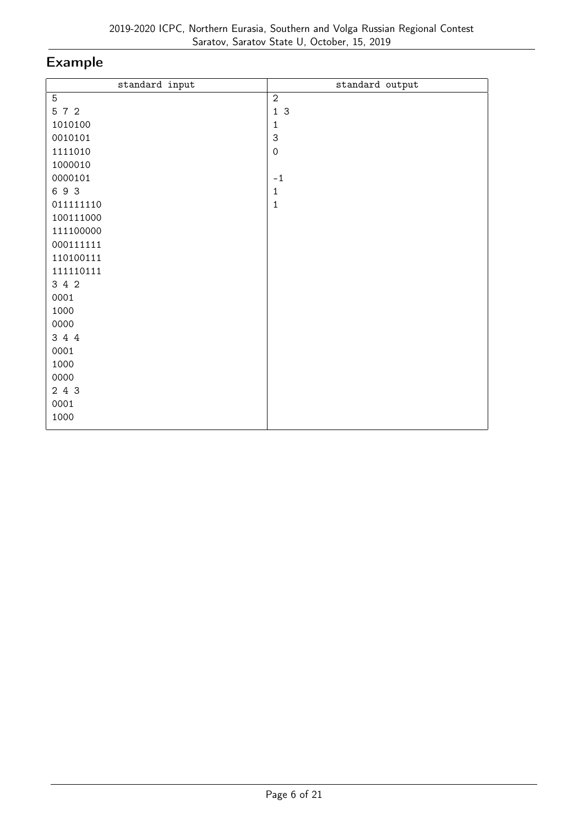| standard input | standard output     |
|----------------|---------------------|
| 5              | $\overline{2}$      |
| 5 7 2          | 13                  |
| 1010100        | $\mathbf{1}$        |
| 0010101        | $\mathsf{3}$        |
| 1111010        | $\mathsf{O}\xspace$ |
| 1000010        |                     |
| 0000101        | $-1$                |
| 693            | $\mathbf{1}$        |
| 011111110      | $\mathbf{1}$        |
| 100111000      |                     |
| 111100000      |                     |
| 000111111      |                     |
| 110100111      |                     |
| 111110111      |                     |
| 3 4 2          |                     |
| 0001           |                     |
| 1000           |                     |
| 0000           |                     |
| 3 4 4          |                     |
| 0001           |                     |
| 1000           |                     |
| 0000           |                     |
| 2 4 3          |                     |
| 0001           |                     |
| 1000           |                     |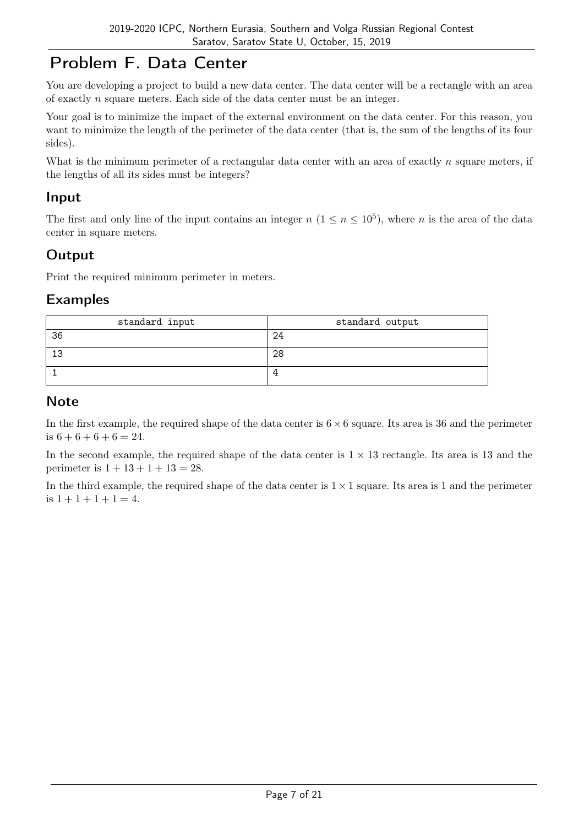# Problem F. Data Center

You are developing a project to build a new data center. The data center will be a rectangle with an area of exactly n square meters. Each side of the data center must be an integer.

Your goal is to minimize the impact of the external environment on the data center. For this reason, you want to minimize the length of the perimeter of the data center (that is, the sum of the lengths of its four sides).

What is the minimum perimeter of a rectangular data center with an area of exactly  $n$  square meters, if the lengths of all its sides must be integers?

### Input

The first and only line of the input contains an integer  $n (1 \le n \le 10^5)$ , where n is the area of the data center in square meters.

## **Output**

Print the required minimum perimeter in meters.

### Examples

| standard input | standard output |
|----------------|-----------------|
| 36             | 24              |
| -13            | 28              |
|                |                 |

### **Note**

In the first example, the required shape of the data center is  $6 \times 6$  square. Its area is 36 and the perimeter is  $6 + 6 + 6 + 6 = 24$ .

In the second example, the required shape of the data center is  $1 \times 13$  rectangle. Its area is 13 and the perimeter is  $1 + 13 + 1 + 13 = 28$ .

In the third example, the required shape of the data center is  $1 \times 1$  square. Its area is 1 and the perimeter is  $1 + 1 + 1 + 1 = 4$ .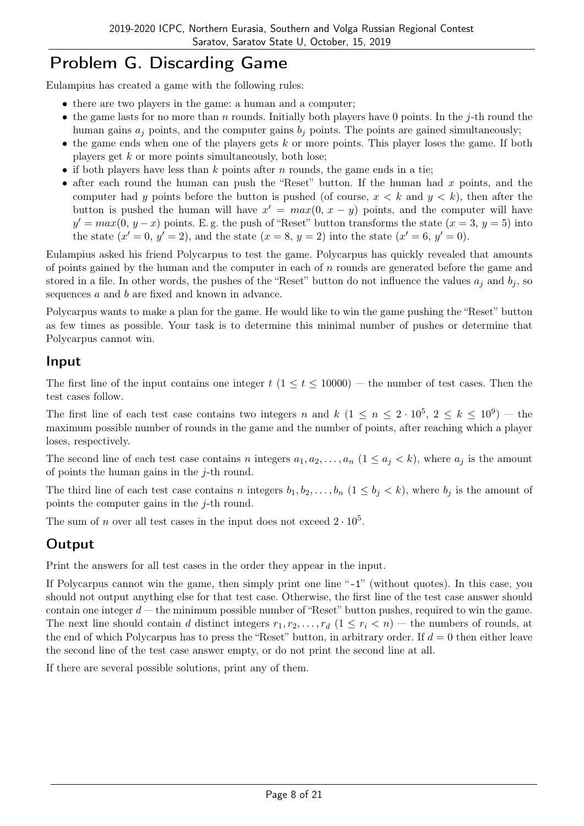# Problem G. Discarding Game

Eulampius has created a game with the following rules:

- there are two players in the game: a human and a computer;
- the game lasts for no more than n rounds. Initially both players have 0 points. In the j-th round the human gains  $a_j$  points, and the computer gains  $b_j$  points. The points are gained simultaneously;
- the game ends when one of the players gets  $k$  or more points. This player loses the game. If both players get  $k$  or more points simultaneously, both lose;
- if both players have less than k points after n rounds, the game ends in a tie;
- after each round the human can push the "Reset" button. If the human had  $x$  points, and the computer had y points before the button is pushed (of course,  $x < k$  and  $y < k$ ), then after the button is pushed the human will have  $x' = max(0, x - y)$  points, and the computer will have  $y' = max(0, y - x)$  points. E.g. the push of "Reset" button transforms the state  $(x = 3, y = 5)$  into the state  $(x' = 0, y' = 2)$ , and the state  $(x = 8, y = 2)$  into the state  $(x' = 6, y' = 0)$ .

Eulampius asked his friend Polycarpus to test the game. Polycarpus has quickly revealed that amounts of points gained by the human and the computer in each of  $n$  rounds are generated before the game and stored in a file. In other words, the pushes of the "Reset" button do not influence the values  $a_j$  and  $b_j$ , so sequences a and b are fixed and known in advance.

Polycarpus wants to make a plan for the game. He would like to win the game pushing the "Reset" button as few times as possible. Your task is to determine this minimal number of pushes or determine that Polycarpus cannot win.

#### Input

The first line of the input contains one integer  $t$  ( $1 \le t \le 10000$ ) — the number of test cases. Then the test cases follow.

The first line of each test case contains two integers n and  $k$   $(1 \le n \le 2 \cdot 10^5, 2 \le k \le 10^9)$  - the maximum possible number of rounds in the game and the number of points, after reaching which a player loses, respectively.

The second line of each test case contains n integers  $a_1, a_2, \ldots, a_n$   $(1 \le a_j \le k)$ , where  $a_j$  is the amount of points the human gains in the  $j$ -th round.

The third line of each test case contains n integers  $b_1, b_2, \ldots, b_n$  ( $1 \leq b_i < k$ ), where  $b_i$  is the amount of points the computer gains in the j-th round.

The sum of n over all test cases in the input does not exceed  $2 \cdot 10^5$ .

### Output

Print the answers for all test cases in the order they appear in the input.

If Polycarpus cannot win the game, then simply print one line "-1" (without quotes). In this case, you should not output anything else for that test case. Otherwise, the first line of the test case answer should contain one integer  $d$  — the minimum possible number of "Reset" button pushes, required to win the game. The next line should contain d distinct integers  $r_1, r_2, \ldots, r_d$   $(1 \leq r_i < n)$  — the numbers of rounds, at the end of which Polycarpus has to press the "Reset" button, in arbitrary order. If  $d = 0$  then either leave the second line of the test case answer empty, or do not print the second line at all.

If there are several possible solutions, print any of them.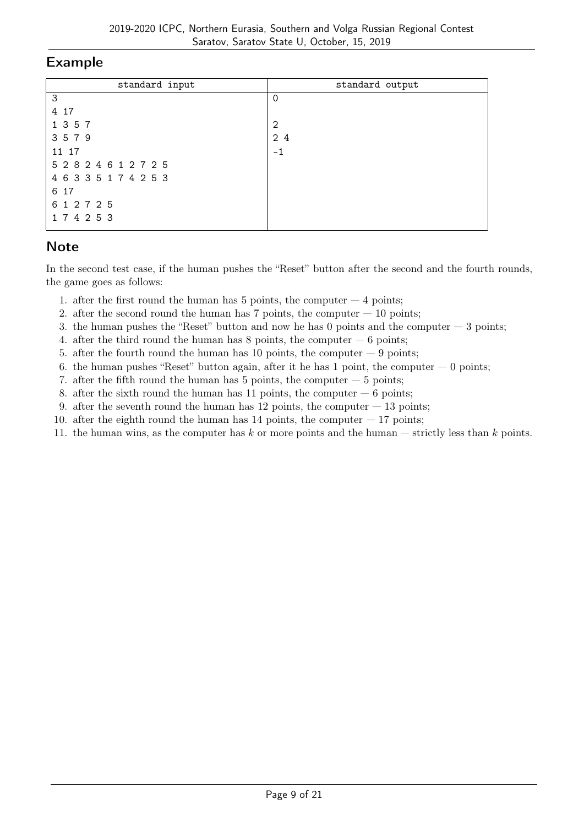| standard input        | standard output |
|-----------------------|-----------------|
| 3                     | $\Omega$        |
| 4 17                  |                 |
| 1 3 5 7               | 2               |
| 3579                  | 2 4             |
| 11 17                 | $-1$            |
| 5 2 8 2 4 6 1 2 7 2 5 |                 |
| 4 6 3 3 5 1 7 4 2 5 3 |                 |
| 6 17                  |                 |
| 6 1 2 7 2 5           |                 |
| 174253                |                 |

### **Note**

In the second test case, if the human pushes the "Reset" button after the second and the fourth rounds, the game goes as follows:

- 1. after the first round the human has  $5$  points, the computer  $-4$  points;
- 2. after the second round the human has  $7$  points, the computer  $-10$  points;
- 3. the human pushes the "Reset" button and now he has 0 points and the computer  $-3$  points;
- 4. after the third round the human has  $8$  points, the computer  $-6$  points;
- 5. after the fourth round the human has 10 points, the computer  $-9$  points;
- 6. the human pushes "Reset" button again, after it he has  $1$  point, the computer  $-0$  points;
- 7. after the fifth round the human has  $5$  points, the computer  $-5$  points;
- 8. after the sixth round the human has 11 points, the computer  $-6$  points;
- 9. after the seventh round the human has  $12$  points, the computer  $-13$  points;
- 10. after the eighth round the human has  $14$  points, the computer  $-17$  points;
- 11. the human wins, as the computer has  $k$  or more points and the human  $-$  strictly less than  $k$  points.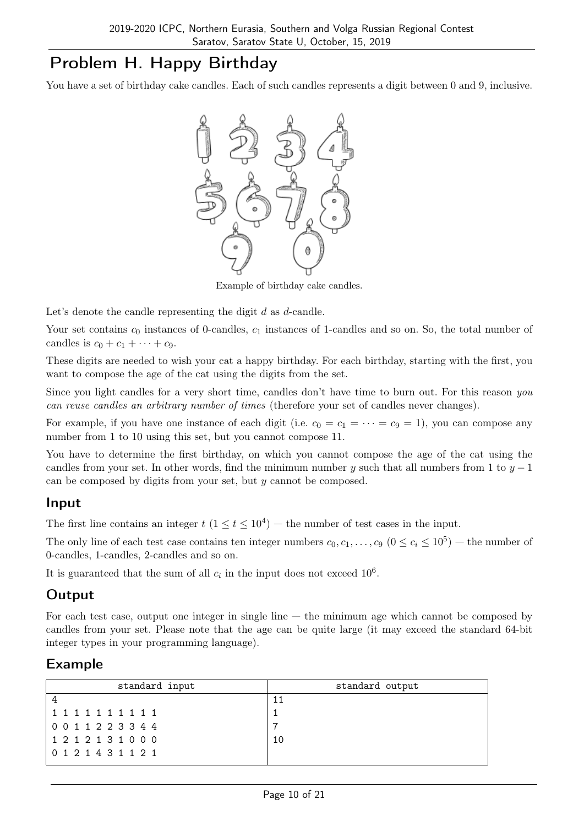# Problem H. Happy Birthday

You have a set of birthday cake candles. Each of such candles represents a digit between 0 and 9, inclusive.



Example of birthday cake candles.

Let's denote the candle representing the digit  $d$  as  $d$ -candle.

Your set contains  $c_0$  instances of 0-candles,  $c_1$  instances of 1-candles and so on. So, the total number of candles is  $c_0 + c_1 + \cdots + c_9$ .

These digits are needed to wish your cat a happy birthday. For each birthday, starting with the first, you want to compose the age of the cat using the digits from the set.

Since you light candles for a very short time, candles don't have time to burn out. For this reason you can reuse candles an arbitrary number of times (therefore your set of candles never changes).

For example, if you have one instance of each digit (i.e.  $c_0 = c_1 = \cdots = c_9 = 1$ ), you can compose any number from 1 to 10 using this set, but you cannot compose 11.

You have to determine the first birthday, on which you cannot compose the age of the cat using the candles from your set. In other words, find the minimum number y such that all numbers from 1 to  $y - 1$ can be composed by digits from your set, but y cannot be composed.

#### Input

The first line contains an integer  $t$   $(1 \le t \le 10^4)$  – the number of test cases in the input.

The only line of each test case contains ten integer numbers  $c_0, c_1, \ldots, c_9$   $(0 \le c_i \le 10^5)$  – the number of 0-candles, 1-candles, 2-candles and so on.

It is guaranteed that the sum of all  $c_i$  in the input does not exceed  $10^6$ .

### **Output**

For each test case, output one integer in single line  $-$  the minimum age which cannot be composed by candles from your set. Please note that the age can be quite large (it may exceed the standard 64-bit integer types in your programming language).

| standard input      | standard output |
|---------------------|-----------------|
|                     |                 |
| 1 1 1 1 1 1 1 1 1 1 |                 |
| 0 0 1 1 2 2 3 3 4 4 | ╺               |
| 1 2 1 2 1 3 1 0 0 0 | 10              |
| 0 1 2 1 4 3 1 1 2 1 |                 |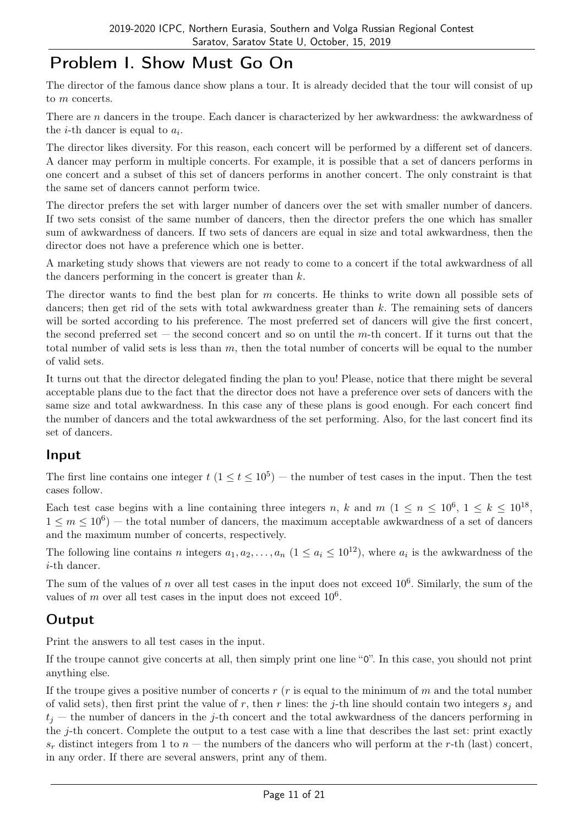# Problem I. Show Must Go On

The director of the famous dance show plans a tour. It is already decided that the tour will consist of up to *m* concerts.

There are n dancers in the troupe. Each dancer is characterized by her awkwardness: the awkwardness of the *i*-th dancer is equal to  $a_i$ .

The director likes diversity. For this reason, each concert will be performed by a different set of dancers. A dancer may perform in multiple concerts. For example, it is possible that a set of dancers performs in one concert and a subset of this set of dancers performs in another concert. The only constraint is that the same set of dancers cannot perform twice.

The director prefers the set with larger number of dancers over the set with smaller number of dancers. If two sets consist of the same number of dancers, then the director prefers the one which has smaller sum of awkwardness of dancers. If two sets of dancers are equal in size and total awkwardness, then the director does not have a preference which one is better.

A marketing study shows that viewers are not ready to come to a concert if the total awkwardness of all the dancers performing in the concert is greater than  $k$ .

The director wants to find the best plan for m concerts. He thinks to write down all possible sets of dancers; then get rid of the sets with total awkwardness greater than  $k$ . The remaining sets of dancers will be sorted according to his preference. The most preferred set of dancers will give the first concert, the second preferred set – the second concert and so on until the  $m$ -th concert. If it turns out that the total number of valid sets is less than  $m$ , then the total number of concerts will be equal to the number of valid sets.

It turns out that the director delegated finding the plan to you! Please, notice that there might be several acceptable plans due to the fact that the director does not have a preference over sets of dancers with the same size and total awkwardness. In this case any of these plans is good enough. For each concert find the number of dancers and the total awkwardness of the set performing. Also, for the last concert find its set of dancers.

### Input

The first line contains one integer  $t$   $(1 \le t \le 10^5)$  — the number of test cases in the input. Then the test cases follow.

Each test case begins with a line containing three integers n, k and m  $(1 \le n \le 10^6, 1 \le k \le 10^{18},$  $1 \leq m \leq 10^6$  – the total number of dancers, the maximum acceptable awkwardness of a set of dancers and the maximum number of concerts, respectively.

The following line contains n integers  $a_1, a_2, \ldots, a_n$   $(1 \le a_i \le 10^{12})$ , where  $a_i$  is the awkwardness of the i-th dancer.

The sum of the values of n over all test cases in the input does not exceed  $10^6$ . Similarly, the sum of the values of m over all test cases in the input does not exceed  $10^6$ .

## **Output**

Print the answers to all test cases in the input.

If the troupe cannot give concerts at all, then simply print one line "0". In this case, you should not print anything else.

If the troupe gives a positive number of concerts  $r(r)$  is equal to the minimum of m and the total number of valid sets), then first print the value of r, then r lines: the j-th line should contain two integers  $s_i$  and  $t_i$  — the number of dancers in the j-th concert and the total awkwardness of the dancers performing in the j-th concert. Complete the output to a test case with a line that describes the last set: print exactly  $s_r$  distinct integers from 1 to  $n-$  the numbers of the dancers who will perform at the r-th (last) concert, in any order. If there are several answers, print any of them.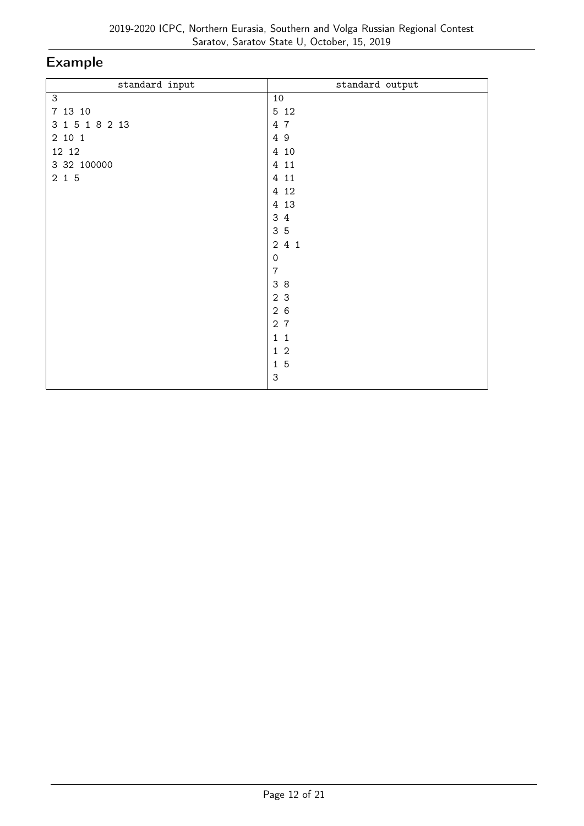| standard input | standard output           |
|----------------|---------------------------|
| $\mathsf 3$    | 10                        |
| 7 13 10        | 5 1 2                     |
| 3 1 5 1 8 2 13 | 4 7                       |
| 2 10 1         | 49                        |
| 12 12          | 4 10                      |
| 3 32 100000    | 4 11                      |
| $2\,$ 1 $\,$ 5 | 4 11                      |
|                | 4 12                      |
|                | 4 13                      |
|                | 3<br>$\overline{4}$       |
|                | 35                        |
|                | 241                       |
|                | $\mathbf 0$               |
|                | $\overline{7}$            |
|                | 38                        |
|                | 2 3                       |
|                | 26                        |
|                | 2 <sub>7</sub>            |
|                | $1\quad1$                 |
|                | $1\quad2$                 |
|                | $1\overline{5}$           |
|                | $\ensuremath{\mathsf{3}}$ |
|                |                           |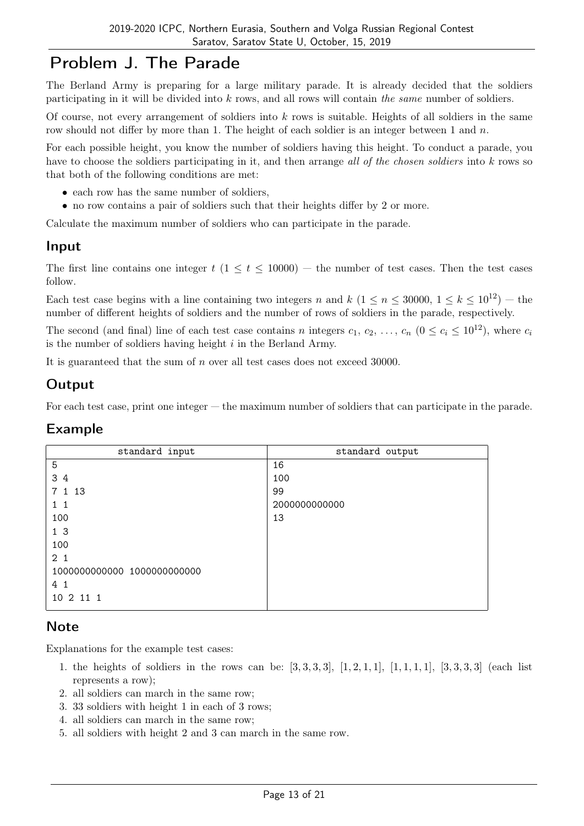## Problem J. The Parade

The Berland Army is preparing for a large military parade. It is already decided that the soldiers participating in it will be divided into k rows, and all rows will contain the same number of soldiers.

Of course, not every arrangement of soldiers into  $k$  rows is suitable. Heights of all soldiers in the same row should not differ by more than 1. The height of each soldier is an integer between 1 and  $n$ .

For each possible height, you know the number of soldiers having this height. To conduct a parade, you have to choose the soldiers participating in it, and then arrange all of the chosen soldiers into k rows so that both of the following conditions are met:

- each row has the same number of soldiers,
- no row contains a pair of soldiers such that their heights differ by 2 or more.

Calculate the maximum number of soldiers who can participate in the parade.

#### Input

The first line contains one integer  $t$  ( $1 \le t \le 10000$ ) — the number of test cases. Then the test cases follow.

Each test case begins with a line containing two integers n and k  $(1 \le n \le 30000, 1 \le k \le 10^{12})$  – the number of different heights of soldiers and the number of rows of soldiers in the parade, respectively.

The second (and final) line of each test case contains n integers  $c_1, c_2, \ldots, c_n$  ( $0 \le c_i \le 10^{12}$ ), where  $c_i$ is the number of soldiers having height  $i$  in the Berland Army.

It is guaranteed that the sum of n over all test cases does not exceed 30000.

#### **Output**

For each test case, print one integer — the maximum number of soldiers that can participate in the parade.

#### Example

| standard input              | standard output |
|-----------------------------|-----------------|
| 5                           | 16              |
| 3 4                         | 100             |
| 7 1 13                      | 99              |
| $1\quad1$                   | 2000000000000   |
| 100                         | 13              |
| 1 <sub>3</sub>              |                 |
| 100                         |                 |
| 2 <sub>1</sub>              |                 |
| 1000000000000 1000000000000 |                 |
| 4 <sub>1</sub>              |                 |
| 10 2 11 1                   |                 |

#### **Note**

Explanations for the example test cases:

- 1. the heights of soldiers in the rows can be:  $[3, 3, 3, 3]$ ,  $[1, 2, 1, 1]$ ,  $[1, 1, 1, 1]$ ,  $[3, 3, 3, 3]$  (each list represents a row);
- 2. all soldiers can march in the same row;
- 3. 33 soldiers with height 1 in each of 3 rows;
- 4. all soldiers can march in the same row;
- 5. all soldiers with height 2 and 3 can march in the same row.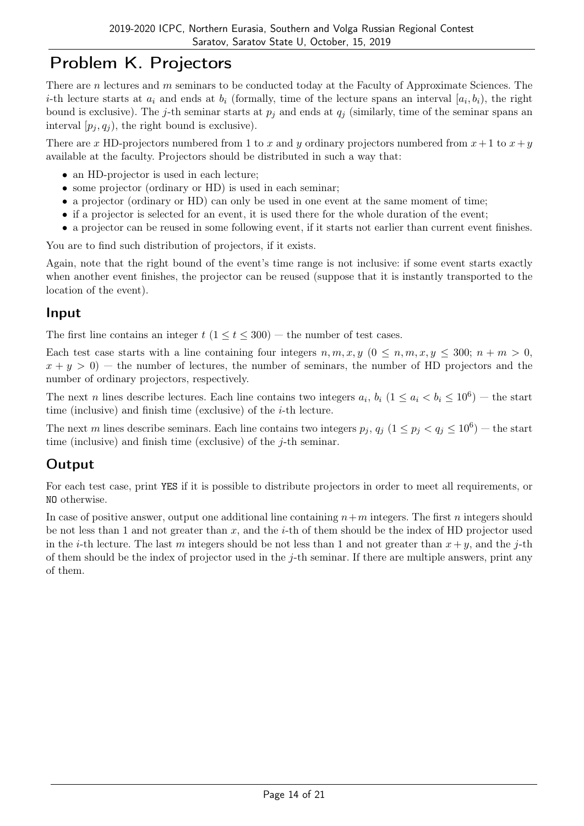# Problem K. Projectors

There are n lectures and m seminars to be conducted today at the Faculty of Approximate Sciences. The *i*-th lecture starts at  $a_i$  and ends at  $b_i$  (formally, time of the lecture spans an interval  $[a_i, b_i)$ , the right bound is exclusive). The j-th seminar starts at  $p_i$  and ends at  $q_i$  (similarly, time of the seminar spans an interval  $[p_i, q_i]$ , the right bound is exclusive).

There are x HD-projectors numbered from 1 to x and y ordinary projectors numbered from  $x + 1$  to  $x + y$ available at the faculty. Projectors should be distributed in such a way that:

- an HD-projector is used in each lecture;
- some projector (ordinary or HD) is used in each seminar;
- a projector (ordinary or HD) can only be used in one event at the same moment of time;
- if a projector is selected for an event, it is used there for the whole duration of the event;
- a projector can be reused in some following event, if it starts not earlier than current event finishes.

You are to find such distribution of projectors, if it exists.

Again, note that the right bound of the event's time range is not inclusive: if some event starts exactly when another event finishes, the projector can be reused (suppose that it is instantly transported to the location of the event).

#### Input

The first line contains an integer  $t$  ( $1 \le t \le 300$ ) — the number of test cases.

Each test case starts with a line containing four integers  $n, m, x, y$  ( $0 \leq n, m, x, y \leq 300; n + m > 0$ ,  $x + y > 0$  – the number of lectures, the number of seminars, the number of HD projectors and the number of ordinary projectors, respectively.

The next n lines describe lectures. Each line contains two integers  $a_i$ ,  $b_i$   $(1 \le a_i < b_i \le 10^6)$  – the start time (inclusive) and finish time (exclusive) of the  $i$ -th lecture.

The next m lines describe seminars. Each line contains two integers  $p_j$ ,  $q_j$   $(1 \leq p_j < q_j \leq 10^6)$  – the start time (inclusive) and finish time (exclusive) of the j-th seminar.

## **Output**

For each test case, print YES if it is possible to distribute projectors in order to meet all requirements, or NO otherwise.

In case of positive answer, output one additional line containing  $n+m$  integers. The first n integers should be not less than 1 and not greater than  $x$ , and the *i*-th of them should be the index of HD projector used in the *i*-th lecture. The last m integers should be not less than 1 and not greater than  $x + y$ , and the *j*-th of them should be the index of projector used in the  $j$ -th seminar. If there are multiple answers, print any of them.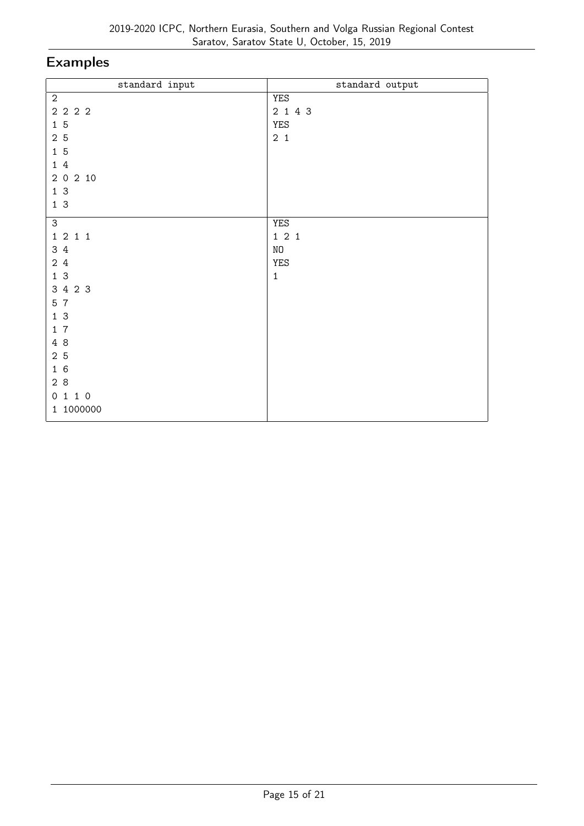| standard input | standard output |
|----------------|-----------------|
| $\overline{2}$ | <b>YES</b>      |
| 2 2 2 2        | 2 1 4 3         |
| 15             | <b>YES</b>      |
| 2 5            | $2\quad1$       |
| 15             |                 |
| 14             |                 |
| 2 0 2 10       |                 |
| 13             |                 |
| 13             |                 |
| 3              | YES             |
| 1 2 1 1        | 121             |
| 3 4            | NO              |
| 2 4            | YES             |
| 13             | $\mathbf 1$     |
| 3 4 2 3        |                 |
| 5 7            |                 |
| 13             |                 |
| 17             |                 |
| 4 8            |                 |
| 2 5            |                 |
| 16             |                 |
| 28             |                 |
| 0 1 1 0        |                 |
| 1 1000000      |                 |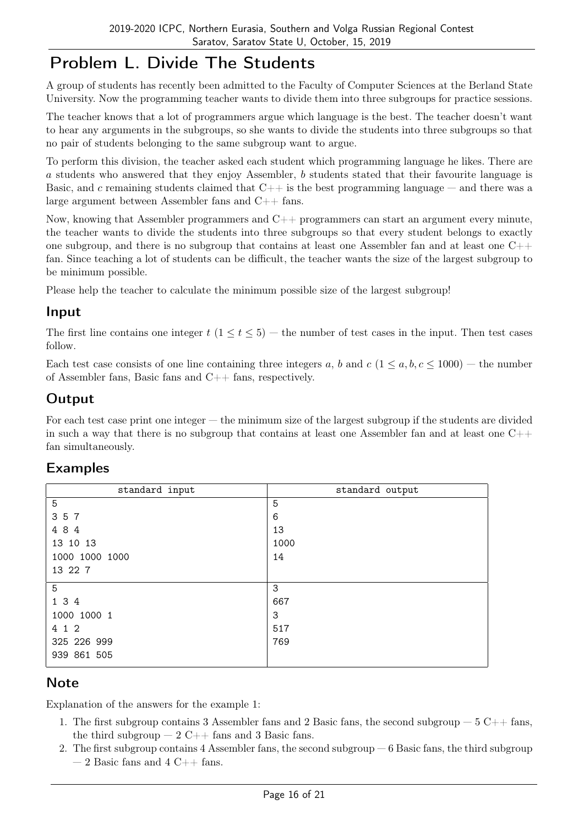# Problem L. Divide The Students

A group of students has recently been admitted to the Faculty of Computer Sciences at the Berland State University. Now the programming teacher wants to divide them into three subgroups for practice sessions.

The teacher knows that a lot of programmers argue which language is the best. The teacher doesn't want to hear any arguments in the subgroups, so she wants to divide the students into three subgroups so that no pair of students belonging to the same subgroup want to argue.

To perform this division, the teacher asked each student which programming language he likes. There are a students who answered that they enjoy Assembler, b students stated that their favourite language is Basic, and c remaining students claimed that  $C++$  is the best programming language — and there was a large argument between Assembler fans and C++ fans.

Now, knowing that Assembler programmers and C++ programmers can start an argument every minute, the teacher wants to divide the students into three subgroups so that every student belongs to exactly one subgroup, and there is no subgroup that contains at least one Assembler fan and at least one  $C++$ fan. Since teaching a lot of students can be difficult, the teacher wants the size of the largest subgroup to be minimum possible.

Please help the teacher to calculate the minimum possible size of the largest subgroup!

#### Input

The first line contains one integer  $t$  (1  $\leq t \leq 5$ ) — the number of test cases in the input. Then test cases follow.

Each test case consists of one line containing three integers a, b and  $c$  ( $1 \le a, b, c \le 1000$ ) — the number of Assembler fans, Basic fans and C++ fans, respectively.

### **Output**

For each test case print one integer — the minimum size of the largest subgroup if the students are divided in such a way that there is no subgroup that contains at least one Assembler fan and at least one  $C++$ fan simultaneously.

| standard input | standard output |
|----------------|-----------------|
| 5              | 5               |
| 3 5 7          | 6               |
| 484            | 13              |
| 13 10 13       | 1000            |
| 1000 1000 1000 | 14              |
| 13 22 7        |                 |
| 5              | 3               |
| 1 3 4          | 667             |
| 1000 1000 1    | 3               |
| 4 1 2          | 517             |
| 325 226 999    | 769             |
| 939 861 505    |                 |

### Examples

## Note

Explanation of the answers for the example 1:

- 1. The first subgroup contains 3 Assembler fans and 2 Basic fans, the second subgroup  $-5$  C++ fans, the third subgroup  $-2$  C++ fans and 3 Basic fans.
- 2. The first subgroup contains 4 Assembler fans, the second subgroup 6 Basic fans, the third subgroup  $-2$  Basic fans and 4 C++ fans.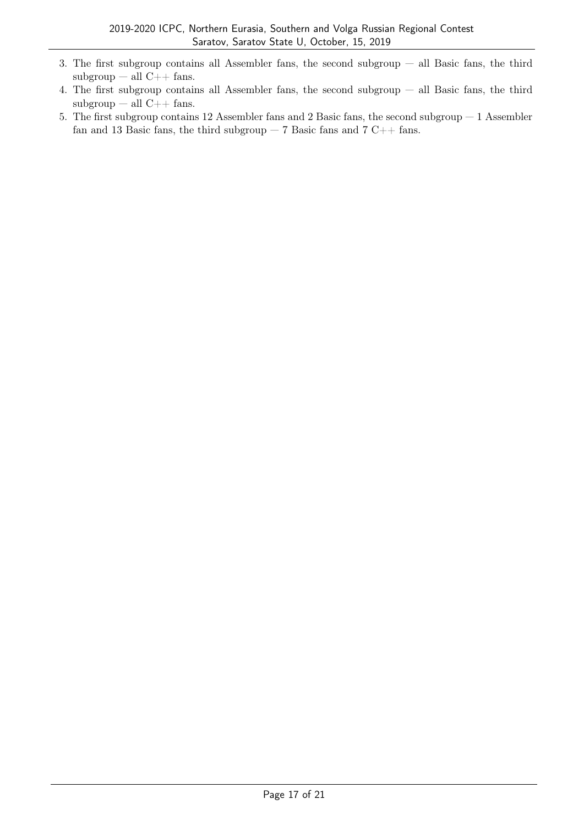- 3. The first subgroup contains all Assembler fans, the second subgroup all Basic fans, the third  $subgroup - all C++ fans.$
- 4. The first subgroup contains all Assembler fans, the second subgroup all Basic fans, the third  $subgroup - all C++ fans.$
- 5. The first subgroup contains 12 Assembler fans and 2 Basic fans, the second subgroup 1 Assembler fan and 13 Basic fans, the third subgroup  $-7$  Basic fans and  $7$  C++ fans.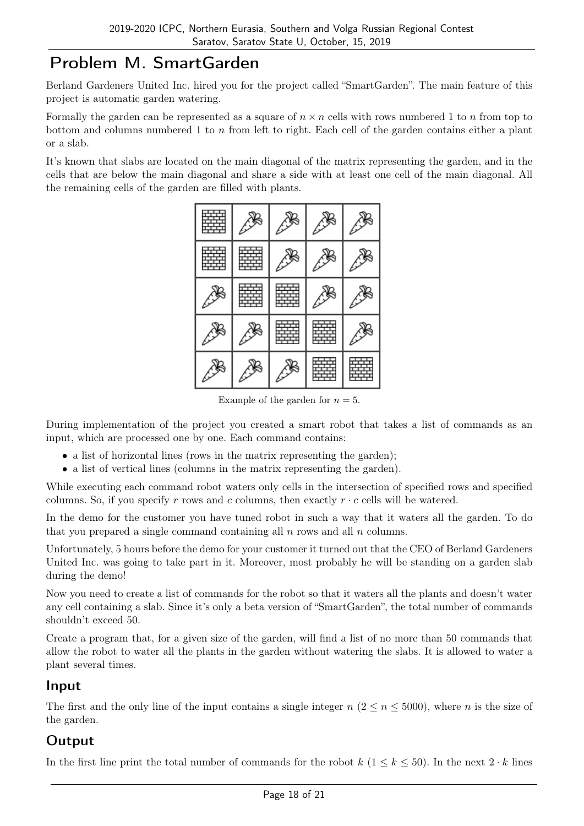# Problem M. SmartGarden

Berland Gardeners United Inc. hired you for the project called "SmartGarden". The main feature of this project is automatic garden watering.

Formally the garden can be represented as a square of  $n \times n$  cells with rows numbered 1 to n from top to bottom and columns numbered 1 to  $n$  from left to right. Each cell of the garden contains either a plant or a slab.

It's known that slabs are located on the main diagonal of the matrix representing the garden, and in the cells that are below the main diagonal and share a side with at least one cell of the main diagonal. All the remaining cells of the garden are filled with plants.

|   | ⇙<br>450 |      |           |
|---|----------|------|-----------|
|   |          |      | 翁         |
|   |          | ৻ৣড় | <b>ेड</b> |
|   | ◈        | ৻ৣড় | 癸         |
| ∕ | ⋇        | ৻ৣড় | ৻ৣ        |

Example of the garden for  $n = 5$ .

During implementation of the project you created a smart robot that takes a list of commands as an input, which are processed one by one. Each command contains:

- a list of horizontal lines (rows in the matrix representing the garden);
- a list of vertical lines (columns in the matrix representing the garden).

While executing each command robot waters only cells in the intersection of specified rows and specified columns. So, if you specify r rows and c columns, then exactly  $r \cdot c$  cells will be watered.

In the demo for the customer you have tuned robot in such a way that it waters all the garden. To do that you prepared a single command containing all  $n$  rows and all  $n$  columns.

Unfortunately, 5 hours before the demo for your customer it turned out that the CEO of Berland Gardeners United Inc. was going to take part in it. Moreover, most probably he will be standing on a garden slab during the demo!

Now you need to create a list of commands for the robot so that it waters all the plants and doesn't water any cell containing a slab. Since it's only a beta version of "SmartGarden", the total number of commands shouldn't exceed 50.

Create a program that, for a given size of the garden, will find a list of no more than 50 commands that allow the robot to water all the plants in the garden without watering the slabs. It is allowed to water a plant several times.

#### Input

The first and the only line of the input contains a single integer  $n (2 \leq n \leq 5000)$ , where n is the size of the garden.

### Output

In the first line print the total number of commands for the robot  $k$  ( $1 \leq k \leq 50$ ). In the next  $2 \cdot k$  lines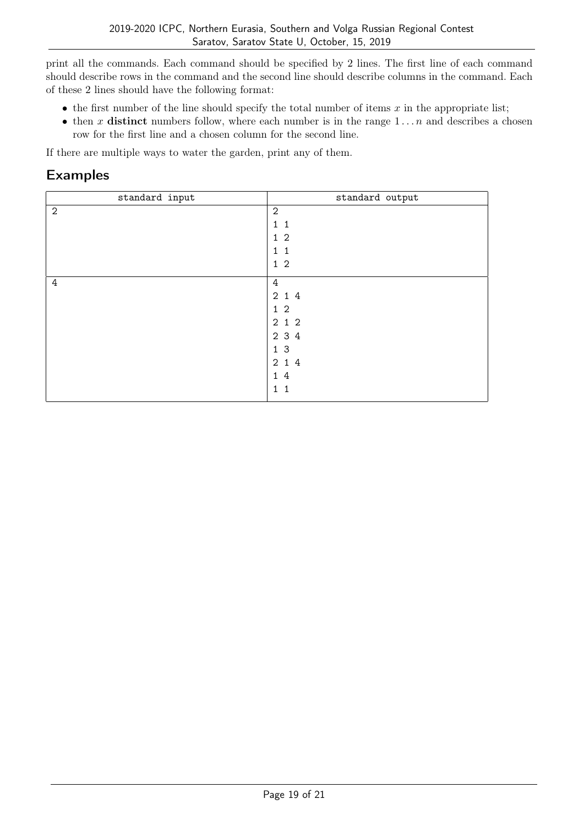print all the commands. Each command should be specified by 2 lines. The first line of each command should describe rows in the command and the second line should describe columns in the command. Each of these 2 lines should have the following format:

- the first number of the line should specify the total number of items  $x$  in the appropriate list;
- then x distinct numbers follow, where each number is in the range  $1 \dots n$  and describes a chosen row for the first line and a chosen column for the second line.

If there are multiple ways to water the garden, print any of them.

| standard input | standard output |
|----------------|-----------------|
| $\mathbf{2}$   | $\overline{2}$  |
|                | 1 <sub>1</sub>  |
|                | $1\,2$          |
|                | $1\quad1$       |
|                | $1\,2$          |
| $\overline{4}$ | $\overline{4}$  |
|                | 2 1 4           |
|                | $1\,2$          |
|                | 212             |
|                | 2 3 4           |
|                | 13              |
|                | 2 1 4           |
|                | 14              |
|                | 1 <sub>1</sub>  |
|                |                 |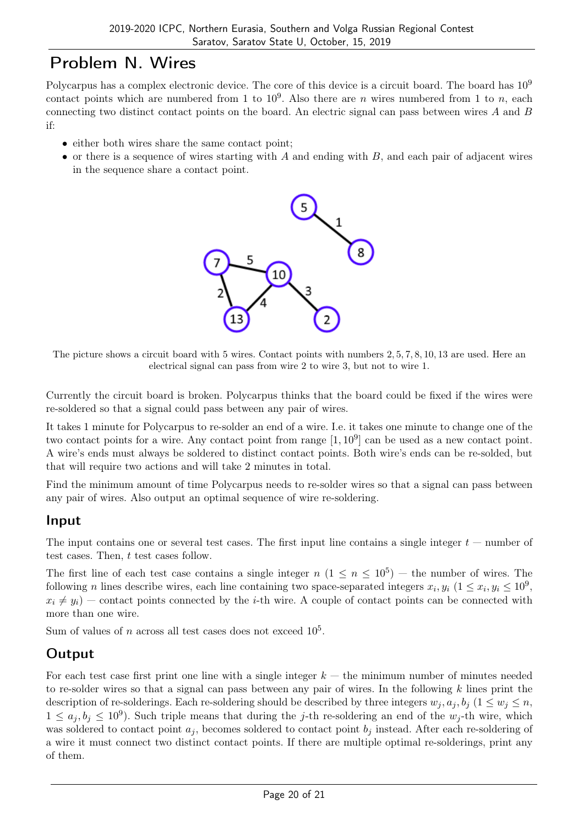## Problem N. Wires

Polycarpus has a complex electronic device. The core of this device is a circuit board. The board has  $10^9$ contact points which are numbered from 1 to  $10^9$ . Also there are *n* wires numbered from 1 to *n*, each connecting two distinct contact points on the board. An electric signal can pass between wires A and B if:

- either both wires share the same contact point;
- or there is a sequence of wires starting with  $A$  and ending with  $B$ , and each pair of adjacent wires in the sequence share a contact point.



The picture shows a circuit board with 5 wires. Contact points with numbers 2, 5, 7, 8, 10, 13 are used. Here an electrical signal can pass from wire 2 to wire 3, but not to wire 1.

Currently the circuit board is broken. Polycarpus thinks that the board could be fixed if the wires were re-soldered so that a signal could pass between any pair of wires.

It takes 1 minute for Polycarpus to re-solder an end of a wire. I.e. it takes one minute to change one of the two contact points for a wire. Any contact point from range  $[1, 10^9]$  can be used as a new contact point. A wire's ends must always be soldered to distinct contact points. Both wire's ends can be re-solded, but that will require two actions and will take 2 minutes in total.

Find the minimum amount of time Polycarpus needs to re-solder wires so that a signal can pass between any pair of wires. Also output an optimal sequence of wire re-soldering.

### Input

The input contains one or several test cases. The first input line contains a single integer  $t$  — number of test cases. Then, t test cases follow.

The first line of each test case contains a single integer  $n (1 \le n \le 10^5)$  – the number of wires. The following *n* lines describe wires, each line containing two space-separated integers  $x_i, y_i$  ( $1 \le x_i, y_i \le 10^9$ ,  $x_i \neq y_i$ ) — contact points connected by the *i*-th wire. A couple of contact points can be connected with more than one wire.

Sum of values of n across all test cases does not exceed  $10^5$ .

## **Output**

For each test case first print one line with a single integer  $k -$  the minimum number of minutes needed to re-solder wires so that a signal can pass between any pair of wires. In the following  $k$  lines print the description of re-solderings. Each re-soldering should be described by three integers  $w_i, a_i, b_i$  ( $1 \leq w_i \leq n$ ,  $1 \leq a_j, b_j \leq 10^9$ ). Such triple means that during the j-th re-soldering an end of the  $w_j$ -th wire, which was soldered to contact point  $a_j$ , becomes soldered to contact point  $b_j$  instead. After each re-soldering of a wire it must connect two distinct contact points. If there are multiple optimal re-solderings, print any of them.